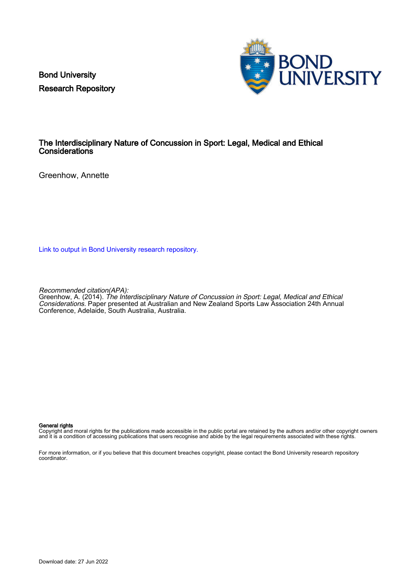Bond University Research Repository



## The Interdisciplinary Nature of Concussion in Sport: Legal, Medical and Ethical **Considerations**

Greenhow, Annette

[Link to output in Bond University research repository.](https://research.bond.edu.au/en/publications/c8b566bb-33d8-40ef-9441-067cbc3ea2d0)

Recommended citation(APA):

Greenhow, A. (2014). The Interdisciplinary Nature of Concussion in Sport: Legal, Medical and Ethical Considerations. Paper presented at Australian and New Zealand Sports Law Association 24th Annual Conference, Adelaide, South Australia, Australia.

#### General rights

Copyright and moral rights for the publications made accessible in the public portal are retained by the authors and/or other copyright owners and it is a condition of accessing publications that users recognise and abide by the legal requirements associated with these rights.

For more information, or if you believe that this document breaches copyright, please contact the Bond University research repository coordinator.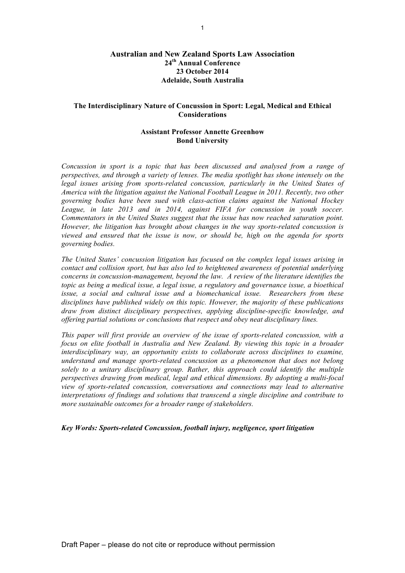### **Australian and New Zealand Sports Law Association 24th Annual Conference 23 October 2014 Adelaide, South Australia**

### **The Interdisciplinary Nature of Concussion in Sport: Legal, Medical and Ethical Considerations**

### **Assistant Professor Annette Greenhow Bond University**

*Concussion in sport is a topic that has been discussed and analysed from a range of perspectives, and through a variety of lenses. The media spotlight has shone intensely on the legal issues arising from sports-related concussion, particularly in the United States of America with the litigation against the National Football League in 2011. Recently, two other governing bodies have been sued with class-action claims against the National Hockey League, in late 2013 and in 2014, against FIFA for concussion in youth soccer. Commentators in the United States suggest that the issue has now reached saturation point. However, the litigation has brought about changes in the way sports-related concussion is viewed and ensured that the issue is now, or should be, high on the agenda for sports governing bodies.* 

*The United States' concussion litigation has focused on the complex legal issues arising in contact and collision sport, but has also led to heightened awareness of potential underlying concerns in concussion-management, beyond the law. A review of the literature identifies the topic as being a medical issue, a legal issue, a regulatory and governance issue, a bioethical issue, a social and cultural issue and a biomechanical issue. Researchers from these disciplines have published widely on this topic. However, the majority of these publications draw from distinct disciplinary perspectives, applying discipline-specific knowledge, and offering partial solutions or conclusions that respect and obey neat disciplinary lines.* 

*This paper will first provide an overview of the issue of sports-related concussion, with a focus on elite football in Australia and New Zealand. By viewing this topic in a broader interdisciplinary way, an opportunity exists to collaborate across disciplines to examine, understand and manage sports-related concussion as a phenomenon that does not belong solely to a unitary disciplinary group. Rather, this approach could identify the multiple perspectives drawing from medical, legal and ethical dimensions. By adopting a multi-focal view of sports-related concussion, conversations and connections may lead to alternative interpretations of findings and solutions that transcend a single discipline and contribute to more sustainable outcomes for a broader range of stakeholders.*

*Key Words: Sports-related Concussion, football injury, negligence, sport litigation*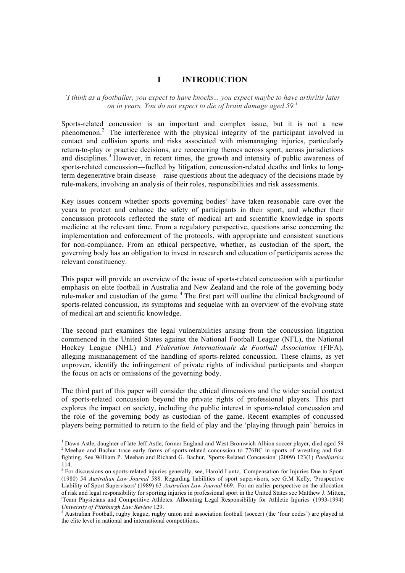# **I INTRODUCTION**

#### *'I think as a footballer, you expect to have knocks... you expect maybe to have arthritis later on in years. You do not expect to die of brain damage aged 59.1*

Sports-related concussion is an important and complex issue, but it is not a new phenomenon.<sup>2</sup> The interference with the physical integrity of the participant involved in contact and collision sports and risks associated with mismanaging injuries, particularly return-to-play or practice decisions, are reoccurring themes across sport, across jurisdictions and disciplines.<sup>3</sup> However, in recent times, the growth and intensity of public awareness of sports-related concussion—fuelled by litigation, concussion-related deaths and links to longterm degenerative brain disease—raise questions about the adequacy of the decisions made by rule-makers, involving an analysis of their roles, responsibilities and risk assessments.

Key issues concern whether sports governing bodies' have taken reasonable care over the years to protect and enhance the safety of participants in their sport, and whether their concussion protocols reflected the state of medical art and scientific knowledge in sports medicine at the relevant time. From a regulatory perspective, questions arise concerning the implementation and enforcement of the protocols, with appropriate and consistent sanctions for non-compliance. From an ethical perspective, whether, as custodian of the sport, the governing body has an obligation to invest in research and education of participants across the relevant constituency.

This paper will provide an overview of the issue of sports-related concussion with a particular emphasis on elite football in Australia and New Zealand and the role of the governing body rule-maker and custodian of the game. <sup>4</sup> The first part will outline the clinical background of sports-related concussion, its symptoms and sequelae with an overview of the evolving state of medical art and scientific knowledge.

The second part examines the legal vulnerabilities arising from the concussion litigation commenced in the United States against the National Football League (NFL), the National Hockey League (NHL) and *Fédération Internationale de Football Association* (FIFA), alleging mismanagement of the handling of sports-related concussion. These claims, as yet unproven, identify the infringement of private rights of individual participants and sharpen the focus on acts or omissions of the governing body.

The third part of this paper will consider the ethical dimensions and the wider social context of sports-related concussion beyond the private rights of professional players. This part explores the impact on society, including the public interest in sports-related concussion and the role of the governing body as custodian of the game. Recent examples of concussed players being permitted to return to the field of play and the 'playing through pain' heroics in

<sup>&</sup>lt;sup>1</sup> Dawn Astle, daughter of late Jeff Astle, former England and West Bromwich Albion soccer player, died aged 59  $^2$  Meehan and Bachur trace early forms of sports-related concussion to 776BC in sports of wrestling and fi fighting. See William P. Meehan and Richard G. Bachur, 'Sports-Related Concussion' (2009) 123(1) *Paediatrics* 114.

<sup>3</sup> For discussions on sports-related injuries generally, see, Harold Luntz, 'Compensation for Injuries Due to Sport' (1980) 54 *Australian Law Journal* 588. Regarding liabilities of sport supervisors, see G.M Kelly, 'Prospective Liability of Sport Supervisors' (1989) 63 *Australian Law Journal* 669. For an earlier perspective on the allocation of risk and legal responsibility for sporting injuries in professional sport in the United States see Matthew J. Mitten, 'Team Physicians and Competitive Athletes: Allocating Legal Responsibility for Athletic Injuries' (1993-1994) *University of Pittsburgh Law Review* 129.<br><sup>4</sup> Australian Football, rugby league, rugby union and association football (soccer) (the 'four codes') are played at

the elite level in national and international competitions.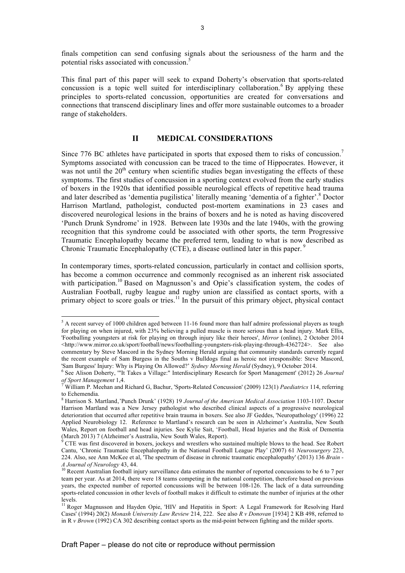finals competition can send confusing signals about the seriousness of the harm and the potential risks associated with concussion.<sup>5</sup>

This final part of this paper will seek to expand Doherty's observation that sports-related concussion is a topic well suited for interdisciplinary collaboration.<sup>6</sup> By applying these principles to sports-related concussion, opportunities are created for conversations and connections that transcend disciplinary lines and offer more sustainable outcomes to a broader range of stakeholders.

# **II MEDICAL CONSIDERATIONS**

Since 776 BC athletes have participated in sports that exposed them to risks of concussion.<sup>7</sup> Symptoms associated with concussion can be traced to the time of Hippocrates. However, it was not until the  $20<sup>th</sup>$  century when scientific studies began investigating the effects of these symptoms. The first studies of concussion in a sporting context evolved from the early studies of boxers in the 1920s that identified possible neurological effects of repetitive head trauma and later described as 'dementia pugilistica' literally meaning 'dementia of a fighter'.<sup>8</sup> Doctor Harrison Martland, pathologist, conducted post-mortem examinations in 23 cases and discovered neurological lesions in the brains of boxers and he is noted as having discovered 'Punch Drunk Syndrome' in 1928. Between late 1930s and the late 1940s, with the growing recognition that this syndrome could be associated with other sports, the term Progressive Traumatic Encephalopathy became the preferred term, leading to what is now described as Chronic Traumatic Encephalopathy (CTE), a disease outlined later in this paper.<sup>9</sup>

In contemporary times, sports-related concussion, particularly in contact and collision sports, has become a common occurrence and commonly recognised as an inherent risk associated with participation.<sup>10</sup> Based on Magnusson's and Opie's classification system, the codes of Australian Football, rugby league and rugby union are classified as contact sports, with a primary object to score goals or tries.<sup>11</sup> In the pursuit of this primary object, physical contact

 $<sup>5</sup>$  A recent survey of 1000 children aged between 11-16 found more than half admire professional players as tough</sup> for playing on when injured, with 23% believing a pulled muscle is more serious than a head injury. Mark Ellis, 'Footballing youngsters at risk for playing on through injury like their heroes', *Mirror* (online), 2 October 2014 <http://www.mirror.co.uk/sport/football/news/footballing-youngsters-risk-playing-through-4362724>. See also commentary by Steve Mascord in the Sydney Morning Herald arguing that community standards currently regard the recent example of Sam Burgess in the Souths v Bulldogs final as heroic not irresponsible: Steve Mascord, 'Sam Burgess' Injury: Why is Playing On Allowed?' Sydney Morning Herald (Sydney), 9 October 2014.

<sup>&</sup>lt;sup>6</sup> See Alison Doherty, "'It Takes a Village:" Interdisciplinary Research for Sport Management' (2012) 26 *Journal* of Sport Management 1,4.

*of Sport Management* 1,4. <sup>7</sup> William P. Meehan and Richard G, Bachur, 'Sports-Related Concussion' (2009) 123(1) *Paediatrics* 114, referring to Echemendia.

<sup>8</sup> Harrison S. Martland''Punch Drunk' (1928) 19 *Journal of the American Medical Association* 1103-1107. Doctor Harrison Martland was a New Jersey pathologist who described clinical aspects of a progressive neurological deterioration that occurred after repetitive brain trauma in boxers. See also JF Geddes, 'Neuropathology' (1996) 22 Applied Neurobiology 12. Reference to Martland's research can be seen in Alzheimer's Australia, New South Wales, Report on football and head injuries. See Kylie Sait, 'Football, Head Injuries and the Risk of Dementia (March 2013) 7 (Alzheimer's Australia, New South Wales, Report).

 $\rm^9$  CTE was first discovered in boxers, jockeys and wrestlers who sustained multiple blows to the head. See Robert Cantu, 'Chronic Traumatic Encephalopathy in the National Football League Play' (2007) 61 *Neurosurgery* 223, 224. Also, see Ann McKee et al, 'The spectrum of disease in chronic traumatic encephalopathy' (2013) 136 *Brain - A Journal of Neurology* 43, 44. <sup>10</sup> Recent Australian football injury surveillance data estimates the number of reported concussions to be 6 to 7 per

team per year. As at 2014, there were 18 teams competing in the national competition, therefore based on previous years, the expected number of reported concussions will be between 108-126. The lack of a data surrounding sports-related concussion in other levels of football makes it difficult to estimate the number of injuries at the other levels.

<sup>&</sup>lt;sup>11</sup> Roger Magnusson and Hayden Opie, 'HIV and Hepatitis in Sport: A Legal Framework for Resolving Hard Cases' (1994) 20(2) *Monash University Law Review* 214, 222. See also *R v Donovan* [1934] 2 KB 498, referred to in R *v Brown* (1992) CA 302 describing contact sports as the mid-point between fighting and the milder sports.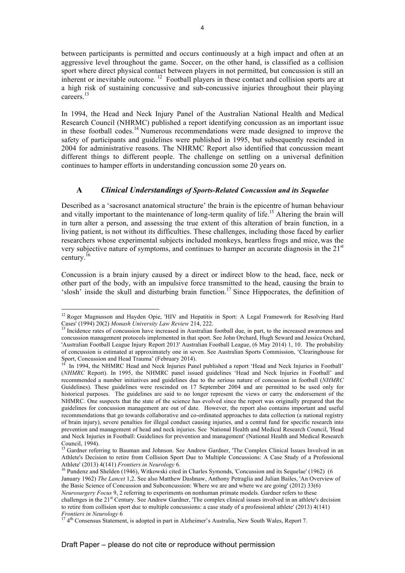between participants is permitted and occurs continuously at a high impact and often at an aggressive level throughout the game. Soccer, on the other hand, is classified as a collision sport where direct physical contact between players in not permitted, but concussion is still an inherent or inevitable outcome. 12 Football players in these contact and collision sports are at a high risk of sustaining concussive and sub-concussive injuries throughout their playing careers.<sup>13</sup>

In 1994, the Head and Neck Injury Panel of the Australian National Health and Medical Research Council (NHRMC) published a report identifying concussion as an important issue in these football codes.<sup>14</sup> Numerous recommendations were made designed to improve the safety of participants and guidelines were published in 1995, but subsequently rescinded in 2004 for administrative reasons. The NHRMC Report also identified that concussion meant different things to different people. The challenge on settling on a universal definition continues to hamper efforts in understanding concussion some 20 years on.

### **A** *Clinical Understandings of Sports-Related Concussion and its Sequelae*

Described as a 'sacrosanct anatomical structure' the brain is the epicentre of human behaviour and vitally important to the maintenance of long-term quality of life.<sup>15</sup> Altering the brain will in turn alter a person, and assessing the true extent of this alteration of brain function, in a living patient, is not without its difficulties. These challenges, including those faced by earlier researchers whose experimental subjects included monkeys, heartless frogs and mice, was the very subjective nature of symptoms, and continues to hamper an accurate diagnosis in the  $21<sup>st</sup>$ century.<sup>16</sup>

Concussion is a brain injury caused by a direct or indirect blow to the head, face, neck or other part of the body, with an impulsive force transmitted to the head, causing the brain to 'slosh' inside the skull and disturbing brain function.<sup>17</sup> Since Hippocrates, the definition of

 $12$  Roger Magnusson and Hayden Opie, 'HIV and Hepatitis in Sport: A Legal Framework for Resolving Hard Cases' (1994) 20(2) *Monash University Law Review* 214, 222.<br><sup>13</sup> Incidence rates of concussion have increased in Australian football due, in part, to the increased awareness and

concussion management protocols implemented in that sport. See John Orchard, Hugh Seward and Jessica Orchard, 'Australian Football League Injury Report 2013' Australian Football League, (6 May 2014) 1, 10. The probability of concussion is estimated at approximately one in seven. See Australian Sports Commission, 'Clearinghouse for<br>Sport, Concussion and Head Trauma' (February 2014).

In 1994, the NHMRC Head and Neck Injuries Panel published a report 'Head and Neck Injuries in Football' (*NHMRC* Report). In 1995, the NHMRC panel issued guidelines 'Head and Neck Injuries in Football' and recommended a number initiatives and guidelines due to the serious nature of concussion in football (*NHMRC*  Guidelines). These guidelines were rescinded on 17 September 2004 and are permitted to be used only for historical purposes. The guidelines are said to no longer represent the views or carry the endorsement of the NHMRC. One suspects that the state of the science has evolved since the report was originally prepared that the guidelines for concussion management are out of date. However, the report also contains important and useful recommendations that go towards collaborative and co-ordinated approaches to data collection (a national registry of brain injury), severe penalties for illegal conduct causing injuries, and a central fund for specific research into prevention and management of head and neck injuries. See National Health and Medical Research Council, 'Head and Neck Injuries in Football: Guidelines for prevention and management' (National Health and Medical Research<br>Council, 1994).

Gardner referring to Bauman and Johnson. See Andrew Gardner, 'The Complex Clinical Issues Involved in an Athlete's Decision to retire from Collision Sport Due to Multiple Concussions: A Case Study of a Professional

Athlete' (2013) 4(141) *Frontiers in Neurology* 6.<br><sup>16</sup> Pundenz and Shelden (1946), Witkowski cited in Charles Symonds, 'Concussion and its Sequelae' (1962) (6 January 1962) *The Lancet* 1,2. See also Matthew Dashnaw, Anthony Petraglia and Julian Bailes, 'An Overview of the Basic Science of Concussion and Subconcussion: Where we are and where we are going' (2012) 33(6) *Neurosurgery Focus* 9, 2 referring to experiments on nonhuman primate models. Gardner refers to these challenges in the 21<sup>st</sup> Century. See Andrew Gardner, 'The complex clinical issues involved in an athlete's decision to retire from collision sport due to multiple concussions: a case study of a professional athlete' (2013) 4(141)

*Frontiers in Neurology* 6<br><sup>17</sup> 4<sup>th</sup> Consensus Statement, is adopted in part in Alzheimer's Australia, New South Wales, Report 7.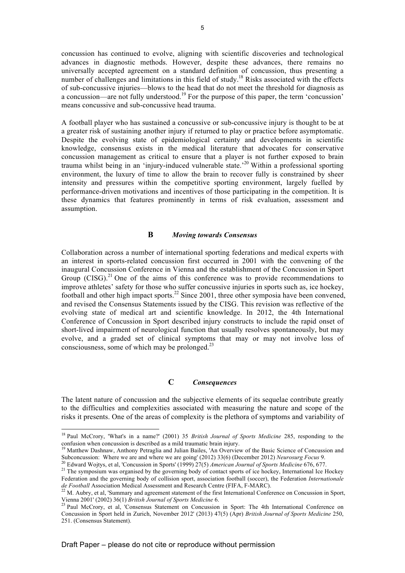concussion has continued to evolve, aligning with scientific discoveries and technological advances in diagnostic methods. However, despite these advances, there remains no universally accepted agreement on a standard definition of concussion, thus presenting a number of challenges and limitations in this field of study.<sup>18</sup> Risks associated with the effects of sub-concussive injuries—blows to the head that do not meet the threshold for diagnosis as a concussion—are not fully understood.<sup>19</sup> For the purpose of this paper, the term 'concussion' means concussive and sub-concussive head trauma.

A football player who has sustained a concussive or sub-concussive injury is thought to be at a greater risk of sustaining another injury if returned to play or practice before asymptomatic. Despite the evolving state of epidemiological certainty and developments in scientific knowledge, consensus exists in the medical literature that advocates for conservative concussion management as critical to ensure that a player is not further exposed to brain trauma whilst being in an 'injury-induced vulnerable state.<sup>20</sup> Within a professional sporting environment, the luxury of time to allow the brain to recover fully is constrained by sheer intensity and pressures within the competitive sporting environment, largely fuelled by performance-driven motivations and incentives of those participating in the competition. It is these dynamics that features prominently in terms of risk evaluation, assessment and assumption.

#### **B** *Moving towards Consensus*

Collaboration across a number of international sporting federations and medical experts with an interest in sports-related concussion first occurred in 2001 with the convening of the inaugural Concussion Conference in Vienna and the establishment of the Concussion in Sport Group  $(CISG)$ <sup>21</sup> One of the aims of this conference was to provide recommendations to improve athletes' safety for those who suffer concussive injuries in sports such as, ice hockey, football and other high impact sports.<sup>22</sup> Since 2001, three other symposia have been convened, and revised the Consensus Statements issued by the CISG. This revision was reflective of the evolving state of medical art and scientific knowledge. In 2012, the 4th International Conference of Concussion in Sport described injury constructs to include the rapid onset of short-lived impairment of neurological function that usually resolves spontaneously, but may evolve, and a graded set of clinical symptoms that may or may not involve loss of consciousness, some of which may be prolonged. $^{23}$ 

### **C** *Consequences*

The latent nature of concussion and the subjective elements of its sequelae contribute greatly to the difficulties and complexities associated with measuring the nature and scope of the risks it presents. One of the areas of complexity is the plethora of symptoms and variability of

<sup>18</sup> Paul McCrory, 'What's in a name?' (2001) 35 *British Journal of Sports Medicine* 285, responding to the confusion when concussion is described as a mild traumatic brain injury.

<sup>19</sup> Matthew Dashnaw, Anthony Petraglia and Julian Bailes, 'An Overview of the Basic Science of Concussion and Subconcussion: Where we are and where we are going' (2012) 33(6) (December 2012) Neurosurg Focus 9.<br><sup>20</sup> Edward Wojtys, et al, 'Concussion in Sports' (1999) 27(5) *American Journal of Sports Medicine* 676, 677.<br><sup>21</sup> The s

Federation and the governing body of collision sport, association football (soccer), the Federation *Internationale* 

*de Football* Association Medical Assessment and Research Centre (FIFA, F-MARC).<br><sup>22</sup> M. Aubry, et al, 'Summary and agreement statement of the first International Conference on Concussion in Sport,<br>Vienna 2001' (2002) 36(1

<sup>&</sup>lt;sup>23</sup> Paul McCrory, et al, 'Consensus Statement on Concussion in Sport: The 4th International Conference on Concussion in Sport held in Zurich, November 2012' (2013) 47(5) (Apr) *British Journal of Sports Medicine* 250, 251. (Consensus Statement).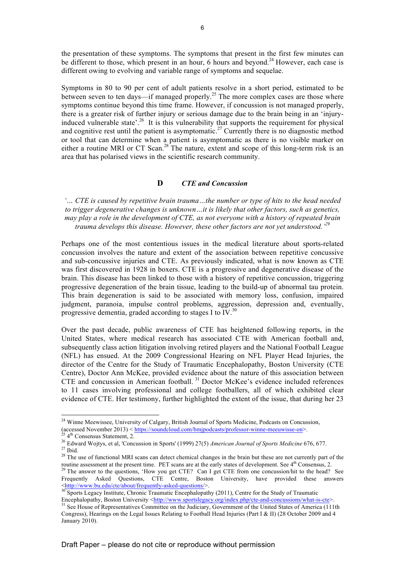the presentation of these symptoms. The symptoms that present in the first few minutes can be different to those, which present in an hour, 6 hours and beyond.<sup>24</sup> However, each case is different owing to evolving and variable range of symptoms and sequelae.

Symptoms in 80 to 90 per cent of adult patients resolve in a short period, estimated to be between seven to ten days—if managed properly.<sup>25</sup> The more complex cases are those where symptoms continue beyond this time frame. However, if concussion is not managed properly, there is a greater risk of further injury or serious damage due to the brain being in an 'injuryinduced vulnerable state'.<sup>26</sup> It is this vulnerability that supports the requirement for physical and cognitive rest until the patient is asymptomatic.<sup>27</sup> Currently there is no diagnostic method or tool that can determine when a patient is asymptomatic as there is no visible marker on either a routine MRI or CT Scan.<sup>28</sup> The nature, extent and scope of this long-term risk is an area that has polarised views in the scientific research community.

### **D** *CTE and Concussion*

*'… CTE is caused by repetitive brain trauma…the number or type of hits to the head needed to trigger degenerative changes is unknown…it is likely that other factors, such as genetics, may play a role in the development of CTE, as not everyone with a history of repeated brain trauma develops this disease. However, these other factors are not yet understood.' 29*

Perhaps one of the most contentious issues in the medical literature about sports-related concussion involves the nature and extent of the association between repetitive concussive and sub-concussive injuries and CTE. As previously indicated, what is now known as CTE was first discovered in 1928 in boxers. CTE is a progressive and degenerative disease of the brain. This disease has been linked to those with a history of repetitive concussion, triggering progressive degeneration of the brain tissue, leading to the build-up of abnormal tau protein. This brain degeneration is said to be associated with memory loss, confusion, impaired judgment, paranoia, impulse control problems, aggression, depression and, eventually, progressive dementia, graded according to stages I to IV.30

Over the past decade, public awareness of CTE has heightened following reports, in the United States, where medical research has associated CTE with American football and, subsequently class action litigation involving retired players and the National Football League (NFL) has ensued. At the 2009 Congressional Hearing on NFL Player Head Injuries, the director of the Centre for the Study of Traumatic Encephalopathy, Boston University (CTE Centre), Doctor Ann McKee, provided evidence about the nature of this association between CTE and concussion in American football. 31 Doctor McKee's evidence included references to 11 cases involving professional and college footballers, all of which exhibited clear evidence of CTE. Her testimony, further highlighted the extent of the issue, that during her 23

<sup>&</sup>lt;sup>24</sup> Winne Meewissee, University of Calgary, British Journal of Sports Medicine, Podcasts on Concussion,

<sup>(</sup>accessed November 2013) < https://soundcloud.com/bmjpodcasts/professor-winne-meet wisse-on>.<br>
<sup>25</sup> 4<sup>th</sup> Consensus Statement, 2.<br>
<sup>26</sup> Edward Wojtys, et al, 'Concussion in Sports' (1999) 27(5) *American Journal of Sports* 

routine assessment at the present time. PET scans are at the early states of development. See  $4<sup>th</sup>$  Consensus, 2.  $^{29}$  The answer to the questions, 'How you get CTE? Can I get CTE from one concussion/hit to the hea

Frequently Asked Questions, CTE Centre, Boston University, have provided these answers <http://www.bu.edu/cte/about/frequently-asked-questions/>. 30 Sports Legacy Institute, Chronic Traumatic Encephalopathy (2011), Centre for the Study of Traumatic

Encephalopathy, Boston University <http://www.sportslegacy.org/index.php/cte-and-concussions/what-is-cte>. 31 See House of Representatives Committee on the Judiciary, Government of the United States of America (111th Congress), Hearings on the Legal Issues Relating to Football Head Injuries (Part I & II) (28 October 2009 and 4 January 2010).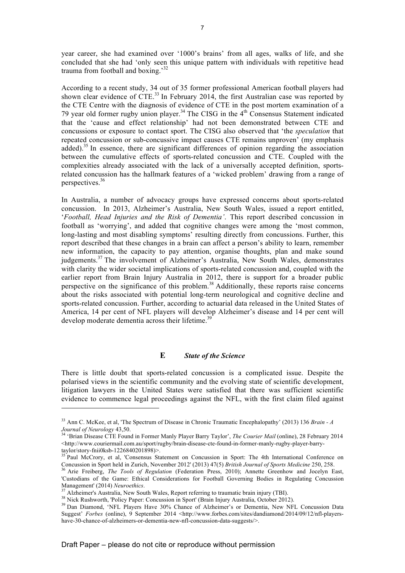year career, she had examined over '1000's brains' from all ages, walks of life, and she concluded that she had 'only seen this unique pattern with individuals with repetitive head trauma from football and boxing.'32

According to a recent study, 34 out of 35 former professional American football players had shown clear evidence of CTE.<sup>33</sup> In February 2014, the first Australian case was reported by the CTE Centre with the diagnosis of evidence of CTE in the post mortem examination of a 79 year old former rugby union player.<sup>34</sup> The CISG in the  $4<sup>th</sup>$  Consensus Statement indicated that the 'cause and effect relationship' had not been demonstrated between CTE and concussions or exposure to contact sport. The CISG also observed that 'the *speculation* that repeated concussion or sub-concussive impact causes CTE remains unproven' (my emphasis added).<sup>35</sup> In essence, there are significant differences of opinion regarding the association between the cumulative effects of sports-related concussion and CTE. Coupled with the complexities already associated with the lack of a universally accepted definition, sportsrelated concussion has the hallmark features of a 'wicked problem' drawing from a range of perspectives.<sup>36</sup>

In Australia, a number of advocacy groups have expressed concerns about sports-related concussion. In 2013, Alzheimer's Australia, New South Wales, issued a report entitled, '*Football, Head Injuries and the Risk of Dementia'*. This report described concussion in football as 'worrying', and added that cognitive changes were among the 'most common, long-lasting and most disabling symptoms' resulting directly from concussions. Further, this report described that these changes in a brain can affect a person's ability to learn, remember new information, the capacity to pay attention, organise thoughts, plan and make sound judgements.<sup>37</sup> The involvement of Alzheimer's Australia, New South Wales, demonstrates with clarity the wider societal implications of sports-related concussion and, coupled with the earlier report from Brain Injury Australia in 2012, there is support for a broader public perspective on the significance of this problem.<sup>38</sup> Additionally, these reports raise concerns about the risks associated with potential long-term neurological and cognitive decline and sports-related concussion. Further, according to actuarial data released in the United States of America, 14 per cent of NFL players will develop Alzheimer's disease and 14 per cent will develop moderate dementia across their lifetime.<sup>39</sup>

### **E** *State of the Science*

There is little doubt that sports-related concussion is a complicated issue. Despite the polarised views in the scientific community and the evolving state of scientific development, litigation lawyers in the United States were satisfied that there was sufficient scientific evidence to commence legal proceedings against the NFL, with the first claim filed against

<sup>33</sup> Ann C. McKee, et al, 'The Spectrum of Disease in Chronic Traumatic Encephalopathy' (2013) 136 *Brain - A Journal of Neurology* 43,50.<br><sup>34</sup> 'Brian Disease CTE Found in Former Manly Player Barry Taylor', *The Courier Mail* (online), 28 February 2014

 $\text{http://www.couriermail.com.au/sport/rugby/brain-disease-cte-found-in-former-mally-rugby-player-barry-}$ 

taylor/story-fnii0ksb-1226840201898)>.<br><sup>35</sup> Paul McCrory, et al, 'Consensus Statement on Concussion in Sport: The 4th International Conference on Concussion in Sport held in Zurich, November 2012' (2013) 47(5) *British Jou* 

<sup>&</sup>lt;sup>36</sup> Arie Freiberg, *The Tools of Regulation* (Federation Press, 2010); Annette Greenhow and Jocelyn East, 'Custodians of the Game: Ethical Considerations for Football Governing Bodies in Regulating Concussion<br>Management' (2014) Neuroethics.

<sup>&</sup>lt;sup>37</sup> Alzheimer's Australia, New South Wales, Report referring to traumatic brain injury (TBI).<br><sup>38</sup> Nick Rushworth, 'Policy Paper: Concussion in Sport' (Brain Injury Australia, October 2012).<br><sup>39</sup> Dan Diamond, 'NFL Player Suggest' *Forbes* (online), 9 September 2014 <http://www.forbes.com/sites/dandiamond/2014/09/12/nfl-playershave-30-chance-of-alzheimers-or-dementia-new-nfl-concussion-data-suggests/>.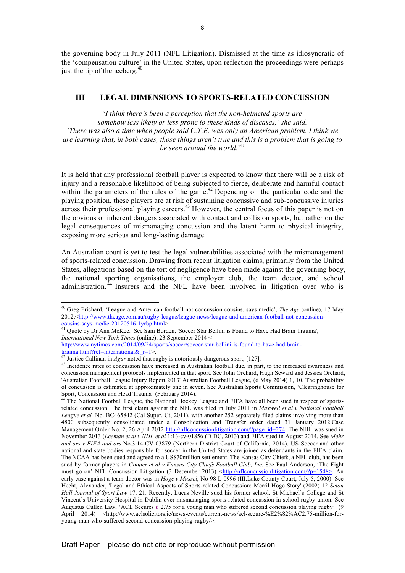the governing body in July 2011 (NFL Litigation). Dismissed at the time as idiosyncratic of the 'compensation culture' in the United States, upon reflection the proceedings were perhaps just the tip of the iceberg. $40$ 

### **III LEGAL DIMENSIONS TO SPORTS-RELATED CONCUSSION**

'*I think there's been a perception that the non-helmeted sports are somehow less likely or less prone to these kinds of diseases,' she said. 'There was also a time when people said C.T.E. was only an American problem. I think we are learning that, in both cases, those things aren't true and this is a problem that is going to be seen around the world*.' 41

It is held that any professional football player is expected to know that there will be a risk of injury and a reasonable likelihood of being subjected to fierce, deliberate and harmful contact within the parameters of the rules of the game.<sup>42</sup> Depending on the particular code and the playing position, these players are at risk of sustaining concussive and sub-concussive injuries across their professional playing careers.<sup>43</sup> However, the central focus of this paper is not on the obvious or inherent dangers associated with contact and collision sports, but rather on the legal consequences of mismanaging concussion and the latent harm to physical integrity, exposing more serious and long-lasting damage.

An Australian court is yet to test the legal vulnerabilities associated with the mismanagement of sports-related concussion. Drawing from recent litigation claims, primarily from the United States, allegations based on the tort of negligence have been made against the governing body, the national sporting organisations, the employer club, the team doctor, and school administration. <sup>44</sup> Insurers and the NFL have been involved in litigation over who is

<sup>40</sup> Greg Prichard, 'League and American football not concussion cousins, says medic', *The Age* (online), 17 May 2012,<http://www.theage.com.au/rugby-league/league-news/league-and-american-football-not-concussion-<br>cousins-says-medic-20120516-1yrbp.html>.

<sup>&</sup>lt;sup>41</sup> Quote by Dr Ann McKee. See Sam Borden, 'Soccer Star Bellini is Found to Have Had Brain Trauma', *International New York Times* (online), 23 September 2014 <

http://www.nytimes.com/2014/09/24/sports/soccer/soccer-star-bellini-is-found-to-have-had-brain- $\frac{3}{42}$ <br>
Trauma.html?ref=international& r=1>.<br>
<sup>42</sup> Justice Callinan in *Agar* noted that rugby is notoriously dangerous sport, [127].<br>
<sup>43</sup> Incidence rates of concussion have increased in Australian football due, in p

concussion management protocols implemented in that sport. See John Orchard, Hugh Seward and Jessica Orchard, 'Australian Football League Injury Report 2013' Australian Football League, (6 May 2014) 1, 10. The probability of concussion is estimated at approximately one in seven. See Australian Sports Commission, 'Clearinghouse for Sport, Concussion and Head Trauma' (February 2014).<br><sup>44</sup> The National Football League, the National Hockey League and FIFA have all been sued in respect of sports-

related concussion. The first claim against the NFL was filed in July 2011 in *Maxwell et al v National Football League et al,* No. BC465842 (Cal Super. Ct, 2011), with another 252 separately filed claims involving more than 4800 subsequently consolidated under a Consolidation and Transfer order dated 31 January 2012.Case Management Order No. 2, 26 April 2012 http://nflconcussionlitigation.com/?page\_id=274. The NHL was sued in November 2013 (*Leeman et al v NHL et al* 1:13-cv-01856 (D DC, 2013) and FIFA sued in August 2014. See *Mehr and ors v FIFA and ors* No.3:14-CV-03879 (Northern District Court of California, 2014). US Soccer and other national and state bodies responsible for soccer in the United States are joined as defendants in the FIFA claim. The NCAA has been sued and agreed to a US\$70million settlement. The Kansas City Chiefs, a NFL club, has been sued by former players in *Cooper et al v Kansas City Chiefs Football Club, Inc.* See Paul Anderson, 'The Fight must go on' NFL Concussion Litigation (3 December 2013) *<*http://nflconcussionlitigation.com/?p=1548>. An early case against a team doctor was in *Hoge v Mussel*, No 98 L 0996 (III.Lake County Court, July 5, 2000). See Hecht, Alexander, 'Legal and Ethical Aspects of Sports-related Concussion: Merril Hoge Story' (2002) 12 *Seton Hall Journal of Sport Law* 17, 21. Recently, Lucas Neville sued his former school, St Michael's College and St Vincent's University Hospital in Dublin over mismanaging sports-related concussion in school rugby union. See Augustus Cullen Law, 'ACL Secures *€* 2.75 for a young man who suffered second concussion playing rugby' (9 April 2014) <http://www.aclsolicitors.ie/news-events/current-news/acl-secure-%E2%82%AC2.75-million-foryoung-man-who-suffered-second-concussion-playing-rugby/>.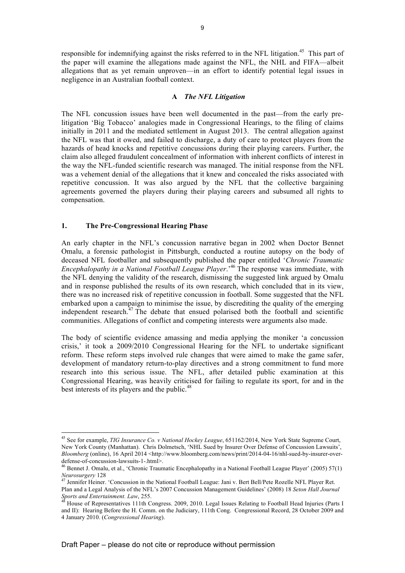responsible for indemnifying against the risks referred to in the NFL litigation.<sup>45</sup> This part of the paper will examine the allegations made against the NFL, the NHL and FIFA—albeit allegations that as yet remain unproven—in an effort to identify potential legal issues in negligence in an Australian football context.

#### **A** *The NFL Litigation*

The NFL concussion issues have been well documented in the past—from the early prelitigation 'Big Tobacco' analogies made in Congressional Hearings, to the filing of claims initially in 2011 and the mediated settlement in August 2013. The central allegation against the NFL was that it owed, and failed to discharge, a duty of care to protect players from the hazards of head knocks and repetitive concussions during their playing careers. Further, the claim also alleged fraudulent concealment of information with inherent conflicts of interest in the way the NFL-funded scientific research was managed. The initial response from the NFL was a vehement denial of the allegations that it knew and concealed the risks associated with repetitive concussion. It was also argued by the NFL that the collective bargaining agreements governed the players during their playing careers and subsumed all rights to compensation.

#### **1. The Pre-Congressional Hearing Phase**

 $\overline{a}$ 

An early chapter in the NFL's concussion narrative began in 2002 when Doctor Bennet Omalu, a forensic pathologist in Pittsburgh, conducted a routine autopsy on the body of deceased NFL footballer and subsequently published the paper entitled '*Chronic Traumatic Encephalopathy in a National Football League Player*.'<sup>46</sup> The response was immediate, with the NFL denying the validity of the research, dismissing the suggested link argued by Omalu and in response published the results of its own research, which concluded that in its view, there was no increased risk of repetitive concussion in football. Some suggested that the NFL embarked upon a campaign to minimise the issue, by discrediting the quality of the emerging independent research. $47$  The debate that ensued polarised both the football and scientific communities. Allegations of conflict and competing interests were arguments also made.

The body of scientific evidence amassing and media applying the moniker 'a concussion crisis,' it took a 2009/2010 Congressional Hearing for the NFL to undertake significant reform. These reform steps involved rule changes that were aimed to make the game safer, development of mandatory return-to-play directives and a strong commitment to fund more research into this serious issue. The NFL, after detailed public examination at this Congressional Hearing, was heavily criticised for failing to regulate its sport, for and in the best interests of its players and the public.<sup>48</sup>

<sup>45</sup> See for example, *TIG Insurance Co. v National Hockey League*, 651162/2014, New York State Supreme Court, New York County (Manhattan). Chris Dolmetsch, 'NHL Sued by Insurer Over Defense of Concussion Lawsuits', *Bloomberg* (online), 16 April 2014 <http://www.bloomberg.com/news/print/2014-04-16/nhl-sued-by-insurer-overdefense-of-concussion-lawsuits-1-.html>.<br><sup>46</sup> Bennet J. Omalu, et al., 'Chronic Traumatic Encephalopathy in a National Football League Player' (2005) 57(1)

*Neurosurgery* 128<br><sup>47</sup> Jennifer Heiner. 'Concussion in the National Football League: Jani v. Bert Bell/Pete Rozelle NFL Player Ret. Plan and a Legal Analysis of the NFL's 2007 Concussion Management Guidelines' (2008) 18 *Seton Hall Journal* 

House of Representatives 111th Congress. 2009, 2010. Legal Issues Relating to Football Head Injuries (Parts I and II): Hearing Before the H. Comm. on the Judiciary, 111th Cong. Congressional Record, 28 October 2009 and 4 January 2010. (*Congressional Hearing*).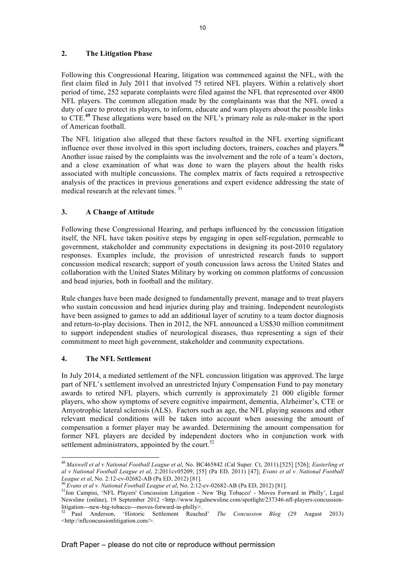### **2. The Litigation Phase**

Following this Congressional Hearing, litigation was commenced against the NFL, with the first claim filed in July 2011 that involved 75 retired NFL players. Within a relatively short period of time, 252 separate complaints were filed against the NFL that represented over 4800 NFL players. The common allegation made by the complainants was that the NFL owed a duty of care to protect its players, to inform, educate and warn players about the possible links to CTE.**<sup>49</sup>** These allegations were based on the NFL's primary role as rule-maker in the sport of American football.

The NFL litigation also alleged that these factors resulted in the NFL exerting significant influence over those involved in this sport including doctors, trainers, coaches and players.**<sup>50</sup>** Another issue raised by the complaints was the involvement and the role of a team's doctors, and a close examination of what was done to warn the players about the health risks associated with multiple concussions. The complex matrix of facts required a retrospective analysis of the practices in previous generations and expert evidence addressing the state of medical research at the relevant times.<sup>51</sup>

### **3. A Change of Attitude**

Following these Congressional Hearing, and perhaps influenced by the concussion litigation itself, the NFL have taken positive steps by engaging in open self-regulation, permeable to government, stakeholder and community expectations in designing its post-2010 regulatory responses. Examples include, the provision of unrestricted research funds to support concussion medical research; support of youth concussion laws across the United States and collaboration with the United States Military by working on common platforms of concussion and head injuries, both in football and the military.

Rule changes have been made designed to fundamentally prevent, manage and to treat players who sustain concussion and head injuries during play and training. Independent neurologists have been assigned to games to add an additional layer of scrutiny to a team doctor diagnosis and return-to-play decisions. Then in 2012, the NFL announced a US\$30 million commitment to support independent studies of neurological diseases, thus representing a sign of their commitment to meet high government, stakeholder and community expectations.

### **4. The NFL Settlement**

In July 2014, a mediated settlement of the NFL concussion litigation was approved. The large part of NFL's settlement involved an unrestricted Injury Compensation Fund to pay monetary awards to retired NFL players, which currently is approximately 21 000 eligible former players, who show symptoms of severe cognitive impairment, dementia, Alzheimer's, CTE or Amyotrophic lateral sclerosis (ALS). Factors such as age, the NFL playing seasons and other relevant medical conditions will be taken into account when assessing the amount of compensation a former player may be awarded. Determining the amount compensation for former NFL players are decided by independent doctors who in conjunction work with settlement administrators, appointed by the court. $52$ 

<sup>49</sup> *Maxwell et al v National Football League et al*, No. BC465842 (Cal Super. Ct, 2011).[525] [526]; *Easterling et al v National Football League et al*, 2:2011cv05209, [55] (Pa ED, 2011) [47]; *Evans et al v. National Football* 

League et al, No. 2:12-cv-02682-AB (Pa ED, 2012) [81].<br><sup>50</sup> Evans et al v. National Football League et al, No. 2:12-cv-02682-AB (Pa ED, 2012) [81].<br><sup>51</sup>Jon Campisi, 'NFL Players' Concussion Litigation - New 'Big Tobacco' -Newsline (online), 19 September 2012 <http://www.legalnewsline.com/spotlight/237346-nfl-players-concussion-

litigation---new-big-tobacco---moves-forward-in-philly>. <sup>52</sup> Paul Anderson, 'Historic Settlement Reached' *The Concussion Blog* (29 August 2013) <http://nflconcussionlitigation.com/>.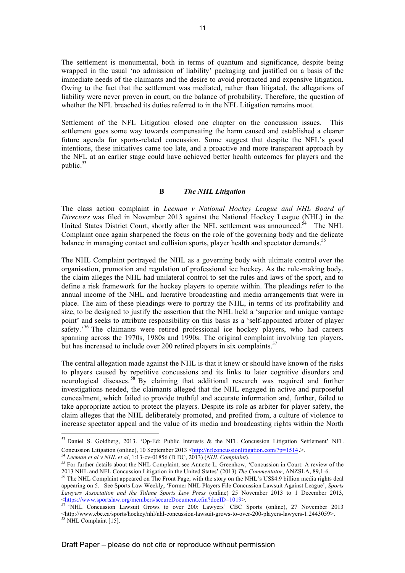The settlement is monumental, both in terms of quantum and significance, despite being wrapped in the usual 'no admission of liability' packaging and justified on a basis of the immediate needs of the claimants and the desire to avoid protracted and expensive litigation. Owing to the fact that the settlement was mediated, rather than litigated, the allegations of liability were never proven in court, on the balance of probability. Therefore, the question of whether the NFL breached its duties referred to in the NFL Litigation remains moot.

Settlement of the NFL Litigation closed one chapter on the concussion issues. This settlement goes some way towards compensating the harm caused and established a clearer future agenda for sports-related concussion. Some suggest that despite the NFL's good intentions, these initiatives came too late, and a proactive and more transparent approach by the NFL at an earlier stage could have achieved better health outcomes for players and the public. $53$ 

#### **B** *The NHL Litigation*

The class action complaint in *Leeman v National Hockey League and NHL Board of Directors* was filed in November 2013 against the National Hockey League (NHL) in the United States District Court, shortly after the NFL settlement was announced. $54$  The NHL Complaint once again sharpened the focus on the role of the governing body and the delicate balance in managing contact and collision sports, player health and spectator demands.<sup>55</sup>

The NHL Complaint portrayed the NHL as a governing body with ultimate control over the organisation, promotion and regulation of professional ice hockey. As the rule-making body, the claim alleges the NHL had unilateral control to set the rules and laws of the sport, and to define a risk framework for the hockey players to operate within. The pleadings refer to the annual income of the NHL and lucrative broadcasting and media arrangements that were in place. The aim of these pleadings were to portray the NHL, in terms of its profitability and size, to be designed to justify the assertion that the NHL held a 'superior and unique vantage point' and seeks to attribute responsibility on this basis as a 'self-appointed arbiter of player safety.<sup>56</sup> The claimants were retired professional ice hockey players, who had careers spanning across the 1970s, 1980s and 1990s. The original complaint involving ten players, but has increased to include over 200 retired players in six complaints.<sup>57</sup>

The central allegation made against the NHL is that it knew or should have known of the risks to players caused by repetitive concussions and its links to later cognitive disorders and neurological diseases. <sup>58</sup> By claiming that additional research was required and further investigations needed, the claimants alleged that the NHL engaged in active and purposeful concealment, which failed to provide truthful and accurate information and, further, failed to take appropriate action to protect the players. Despite its role as arbiter for player safety, the claim alleges that the NHL deliberately promoted, and profited from, a culture of violence to increase spectator appeal and the value of its media and broadcasting rights within the North

<sup>53</sup> Daniel S. Goldberg, 2013. 'Op-Ed: Public Interests & the NFL Concussion Litigation Settlement' NFL

Concussion Litigation (online), 10 September 2013 <http://nflconcussionlitigation.com/?p=1514.>.<br>
<sup>54</sup> Leeman et al v NHL et al, 1:13-cv-01856 (D DC, 2013) (NHL Complaint).<br>
<sup>55</sup> For further details about the NHL Complain 2013 NHL and NFL Concussion Litigation in the United States' (2013) *The Commentator*, ANZSLA, 89,1-6. <sup>56</sup> The NHL Complaint appeared on The Front Page, with the story on the NHL's US\$4.9 billion media rights deal

appearing on 5. See Sports Law Weekly, 'Former NHL Players File Concussion Lawsuit Against League', *Sports Lawyers Association and the Tulane Sports Law Press* (online) 25 November 2013 to 1 December 2013, <https://www.sportslaw.org/members/secureDocument.cfm?docID=1019>.

<sup>&</sup>lt;sup>57</sup> 'NHL Concussion Lawsuit Grows to over 200: Lawyers' CBC Sports (online), 27 November 2013  $\leq$ http://www.cbc.ca/sports/hockey/nhl/nhl-concussion-lawsuit-grows-to-over-200-players-lawyers-1.2443059>. 58 NHL Complaint [15].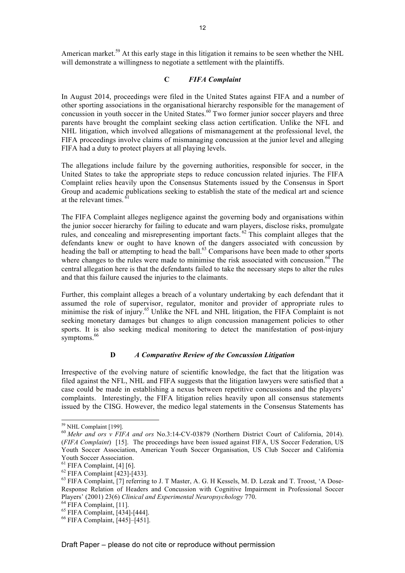American market.<sup>59</sup> At this early stage in this litigation it remains to be seen whether the NHL will demonstrate a willingness to negotiate a settlement with the plaintiffs.

### **C** *FIFA Complaint*

In August 2014, proceedings were filed in the United States against FIFA and a number of other sporting associations in the organisational hierarchy responsible for the management of concussion in youth soccer in the United States.<sup>60</sup> Two former junior soccer players and three parents have brought the complaint seeking class action certification. Unlike the NFL and NHL litigation, which involved allegations of mismanagement at the professional level, the FIFA proceedings involve claims of mismanaging concussion at the junior level and alleging FIFA had a duty to protect players at all playing levels.

The allegations include failure by the governing authorities, responsible for soccer, in the United States to take the appropriate steps to reduce concussion related injuries. The FIFA Complaint relies heavily upon the Consensus Statements issued by the Consensus in Sport Group and academic publications seeking to establish the state of the medical art and science at the relevant times.  $61$ 

The FIFA Complaint alleges negligence against the governing body and organisations within the junior soccer hierarchy for failing to educate and warn players, disclose risks, promulgate rules, and concealing and misrepresenting important facts. <sup>62</sup> This complaint alleges that the defendants knew or ought to have known of the dangers associated with concussion by heading the ball or attempting to head the ball.<sup>63</sup> Comparisons have been made to other sports where changes to the rules were made to minimise the risk associated with concussion.<sup>64</sup> The central allegation here is that the defendants failed to take the necessary steps to alter the rules and that this failure caused the injuries to the claimants.

Further, this complaint alleges a breach of a voluntary undertaking by each defendant that it assumed the role of supervisor, regulator, monitor and provider of appropriate rules to minimise the risk of injury.<sup>65</sup> Unlike the NFL and NHL litigation, the FIFA Complaint is not seeking monetary damages but changes to align concussion management policies to other sports. It is also seeking medical monitoring to detect the manifestation of post-injury symptoms.<sup>66</sup>

### **D** *A Comparative Review of the Concussion Litigation*

Irrespective of the evolving nature of scientific knowledge, the fact that the litigation was filed against the NFL, NHL and FIFA suggests that the litigation lawyers were satisfied that a case could be made in establishing a nexus between repetitive concussions and the players' complaints. Interestingly, the FIFA litigation relies heavily upon all consensus statements issued by the CISG. However, the medico legal statements in the Consensus Statements has

<sup>59</sup> NHL Complaint [199]. <sup>60</sup> *Mehr and ors v FIFA and ors* No.3:14-CV-03879 (Northern District Court of California, 2014). (*FIFA Complaint*) [15]. The proceedings have been issued against FIFA, US Soccer Federation, US Youth Soccer Association, American Youth Soccer Organisation, US Club Soccer and California

Youth Soccer Association.<br><sup>61</sup> FIFA Complaint, [4] [6].<br><sup>62</sup> FIFA Complaint, [7] referring to J. T Master, A. G. H Kessels, M. D. Lezak and T. Troost, 'A Dose-<br><sup>63</sup> FIFA Complaint, [7] referring to J. T Master, A. G. H Kes Response Relation of Headers and Concussion with Cognitive Impairment in Professional Soccer Players' (2001) 23(6) *Clinical and Experimental Neuropsychology* 770.<br><sup>64</sup> FIFA Complaint, [11].<br><sup>65</sup> FIFA Complaint, [434]-[444].<br><sup>66</sup> FIFA Complaint, [445]–[451].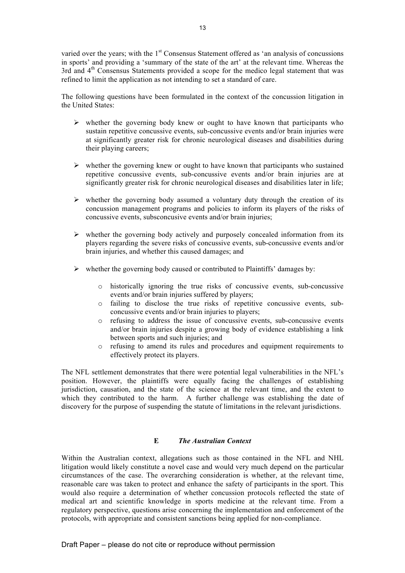varied over the years; with the 1<sup>st</sup> Consensus Statement offered as 'an analysis of concussions in sports' and providing a 'summary of the state of the art' at the relevant time. Whereas the  $3rd$  and  $4<sup>th</sup>$  Consensus Statements provided a scope for the medico legal statement that was refined to limit the application as not intending to set a standard of care.

The following questions have been formulated in the context of the concussion litigation in the United States:

- $\triangleright$  whether the governing body knew or ought to have known that participants who sustain repetitive concussive events, sub-concussive events and/or brain injuries were at significantly greater risk for chronic neurological diseases and disabilities during their playing careers;
- $\triangleright$  whether the governing knew or ought to have known that participants who sustained repetitive concussive events, sub-concussive events and/or brain injuries are at significantly greater risk for chronic neurological diseases and disabilities later in life;
- $\triangleright$  whether the governing body assumed a voluntary duty through the creation of its concussion management programs and policies to inform its players of the risks of concussive events, subsconcusive events and/or brain injuries;
- $\triangleright$  whether the governing body actively and purposely concealed information from its players regarding the severe risks of concussive events, sub-concussive events and/or brain injuries, and whether this caused damages; and
- $\triangleright$  whether the governing body caused or contributed to Plaintiffs' damages by:
	- o historically ignoring the true risks of concussive events, sub-concussive events and/or brain injuries suffered by players;
	- o failing to disclose the true risks of repetitive concussive events, subconcussive events and/or brain injuries to players;
	- o refusing to address the issue of concussive events, sub-concussive events and/or brain injuries despite a growing body of evidence establishing a link between sports and such injuries; and
	- o refusing to amend its rules and procedures and equipment requirements to effectively protect its players.

The NFL settlement demonstrates that there were potential legal vulnerabilities in the NFL's position. However, the plaintiffs were equally facing the challenges of establishing jurisdiction, causation, and the state of the science at the relevant time, and the extent to which they contributed to the harm. A further challenge was establishing the date of discovery for the purpose of suspending the statute of limitations in the relevant jurisdictions.

### **E** *The Australian Context*

Within the Australian context, allegations such as those contained in the NFL and NHL litigation would likely constitute a novel case and would very much depend on the particular circumstances of the case. The overarching consideration is whether, at the relevant time, reasonable care was taken to protect and enhance the safety of participants in the sport. This would also require a determination of whether concussion protocols reflected the state of medical art and scientific knowledge in sports medicine at the relevant time. From a regulatory perspective, questions arise concerning the implementation and enforcement of the protocols, with appropriate and consistent sanctions being applied for non-compliance.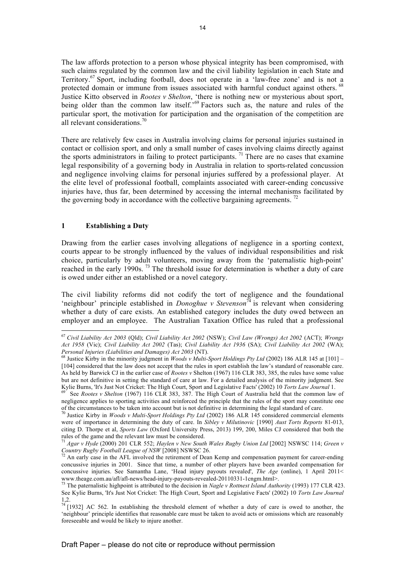The law affords protection to a person whose physical integrity has been compromised, with such claims regulated by the common law and the civil liability legislation in each State and Territory. <sup>67</sup> Sport, including football, does not operate in a 'law-free zone' and is not a protected domain or immune from issues associated with harmful conduct against others. <sup>68</sup> Justice Kitto observed in *Rootes v Shelton*, 'there is nothing new or mysterious about sport, being older than the common law itself.<sup>'69</sup> Factors such as, the nature and rules of the particular sport, the motivation for participation and the organisation of the competition are all relevant considerations.<sup>70</sup>

There are relatively few cases in Australia involving claims for personal injuries sustained in contact or collision sport, and only a small number of cases involving claims directly against the sports administrators in failing to protect participants.<sup>71</sup> There are no cases that examine legal responsibility of a governing body in Australia in relation to sports-related concussion and negligence involving claims for personal injuries suffered by a professional player. At the elite level of professional football, complaints associated with career-ending concussive injuries have, thus far, been determined by accessing the internal mechanisms facilitated by the governing body in accordance with the collective bargaining agreements.<sup>72</sup>

#### **1 Establishing a Duty**

Drawing from the earlier cases involving allegations of negligence in a sporting context, courts appear to be strongly influenced by the values of individual responsibilities and risk choice, particularly by adult volunteers, moving away from the 'paternalistic high-point' reached in the early 1990s.<sup>73</sup> The threshold issue for determination is whether a duty of care is owed under either an established or a novel category.

The civil liability reforms did not codify the tort of negligence and the foundational 'neighbour' principle established in *Donoghue v Stevenson*<sup> $\frac{74}{4}$ </sup> is relevant when considering whether a duty of care exists. An established category includes the duty owed between an employer and an employee. The Australian Taxation Office has ruled that a professional

<sup>67</sup> *Civil Liability Act 2003* (Qld); *Civil Liability Act 2002* (NSW); *Civil Law (Wrongs) Act 2002* (ACT); *Wrongs Act 1958* (Vic); *Civil Liability Act 2002* (Tas); *Civil Liability Act 1936* (SA); *Civil Liability Act 2002* (WA);

<sup>&</sup>lt;sup>68</sup> Justice Kirby in the minority judgment in *Woods v Multi-Sport Holdings Pty Ltd* (2002) 186 ALR 145 at [101] – [104] considered that the law does not accept that the rules in sport establish the law's standard of reasonable care. As held by Barwick CJ in the earlier case of *Rootes v* Shelton (1967) 116 CLR 383, 385, the rules have some value but are not definitive in setting the standard of care at law. For a detailed analysis of the minority judgment. See Kylie Burns, 'It's Just Not Cricket: The High Court, Sport and Legislative Facts' (2002) 10 Torts Law Journal 1.<br><sup>69</sup> See Rootes v Shelton (1967) 116 CLR 383, 387. The High Court of Australia held that the common law of

negligence applies to sporting activities and reinforced the principle that the rules of the sport may constitute one of the circumstances to be taken into account but is not definitive in determining the legal standard of care. <sup>70</sup> Justice Kirby in *Woods v Multi-Sport Holdings Pty Ltd* (2002) 186 ALR 145 considered commercial elements

were of importance in determining the duty of care. In *Sibley v Milutinovic* [1990] *Aust Torts Reports* 81-013, citing D. Thorpe et al, *Sports Law* (Oxford University Press, 2013) 199, 200, Miles CJ considered that both the rules of the game and the relevant law must be considered.

<sup>&</sup>lt;sup>71</sup> *Agar v Hyde* (2000) 201 CLR 552; *Haylen v New South Wales Rugby Union Ltd* [2002] NSWSC 114; *Green v Country Rugby Football League of NSW* [2008] NSWSC 26.<br><sup>72</sup> An agrily gase in the AEL involved the extinement

An early case in the AFL involved the retirement of Dean Kemp and compensation payment for career-ending concussive injuries in 2001. Since that time, a number of other players have been awarded compensation for concussive injuries. See Samantha Lane, 'Head injury payouts revealed', *The Age* (online), 1 April 2011< www.theage.com.au/afl/afl-news/head-injury-payouts-revealed-20110331-1cngm.html>. <sup>73</sup> The paternalistic highpoint is attributed to the decision in *Nagle v Rottnest Island Authority* (1993) 177 CLR 423.

See Kylie Burns, 'It's Just Not Cricket: The High Court, Sport and Legislative Facts' (2002) 10 *Torts Law Journal* 1,2.

 $74$  [1932] AC 562. In establishing the threshold element of whether a duty of care is owed to another, the 'neighbour' principle identifies that reasonable care must be taken to avoid acts or omissions which are reasonably foreseeable and would be likely to injure another.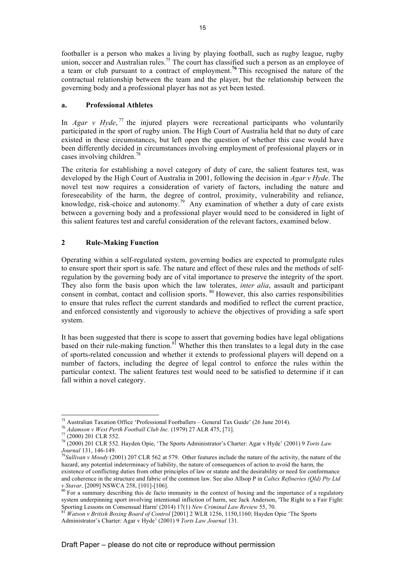footballer is a person who makes a living by playing football, such as rugby league, rugby union, soccer and Australian rules.<sup>75</sup> The court has classified such a person as an employee of a team or club pursuant to a contract of employment.**<sup>76</sup>** This recognised the nature of the contractual relationship between the team and the player, but the relationship between the governing body and a professional player has not as yet been tested.

### **a. Professional Athletes**

In *Agar v Hyde*,  $^{77}$  the injured players were recreational participants who voluntarily participated in the sport of rugby union. The High Court of Australia held that no duty of care existed in these circumstances, but left open the question of whether this case would have been differently decided in circumstances involving employment of professional players or in cases involving children.<sup>78</sup>

The criteria for establishing a novel category of duty of care, the salient features test, was developed by the High Court of Australia in 2001, following the decision in *Agar v Hyde*. The novel test now requires a consideration of variety of factors, including the nature and foreseeability of the harm, the degree of control, proximity, vulnerability and reliance, knowledge, risk-choice and autonomy.<sup>79</sup> Any examination of whether a duty of care exists between a governing body and a professional player would need to be considered in light of this salient features test and careful consideration of the relevant factors, examined below.

### **2 Rule-Making Function**

Operating within a self-regulated system, governing bodies are expected to promulgate rules to ensure sport their sport is safe. The nature and effect of these rules and the methods of selfregulation by the governing body are of vital importance to preserve the integrity of the sport. They also form the basis upon which the law tolerates, *inter alia*, assault and participant consent in combat, contact and collision sports. <sup>80</sup> However, this also carries responsibilities to ensure that rules reflect the current standards and modified to reflect the current practice, and enforced consistently and vigorously to achieve the objectives of providing a safe sport system.

It has been suggested that there is scope to assert that governing bodies have legal obligations based on their rule-making function.<sup>81</sup> Whether this then translates to a legal duty in the case of sports-related concussion and whether it extends to professional players will depend on a number of factors, including the degree of legal control to enforce the rules within the particular context. The salient features test would need to be satisfied to determine if it can fall within a novel category.

<sup>&</sup>lt;sup>75</sup> Australian Taxation Office 'Professional Footballers - General Tax Guide' (26 June 2014).

<sup>&</sup>lt;sup>76</sup> Adamson v West Perth Football Club Inc. (1979) 27 ALR 475, [71].<br>
<sup>77</sup> (2000) 201 CLR 552.<br>
<sup>78</sup> (2000) 201 CLR 552. Hayden Opie, 'The Sports Administrator's Charter: Agar v Hyde' (2001) 9 *Torts Law* 

*Journal* 131, 146-149.<br><sup>79</sup>*Sullivan v Moody* (2001) 207 CLR 562 at 579. Other features include the nature of the activity, the nature of the hazard, any potential indeterminacy of liability, the nature of consequences of action to avoid the harm, the existence of conflicting duties from other principles of law or statute and the desirability or need for conformance and coherence in the structure and fabric of the common law. See also Allsop P in *Caltex Refineries (Qld) Pty Ltd v Stavar*, [2009] NSWCA 258, [101]-[106].<br><sup>80</sup> For a summary describing this de facto immunity in the context of boxing and the importance of a regulatory

system underpinning sport involving intentional infliction of harm, see Jack Anderson, 'The Right to a Fair Fight:

Sporting Lessons on Consensual Harm' (2014) 17(1) *New Criminal Law Review* 55, 70. <sup>81</sup> *Watson v British Boxing Board of Control* [2001] 2 WLR 1256, 1150,1160; Hayden Opie 'The Sports Administrator's Charter: Agar v Hyde' (2001) 9 *Torts Law Journal* 131.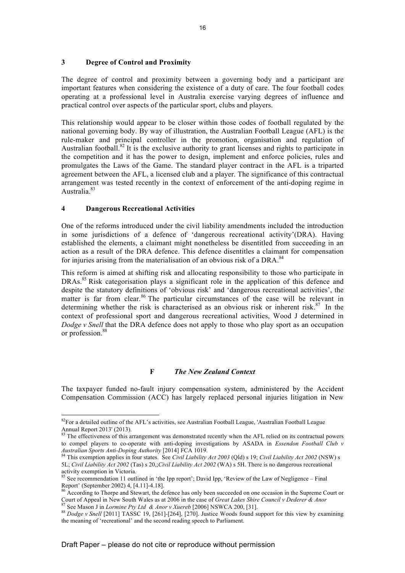### **3 Degree of Control and Proximity**

The degree of control and proximity between a governing body and a participant are important features when considering the existence of a duty of care. The four football codes operating at a professional level in Australia exercise varying degrees of influence and practical control over aspects of the particular sport, clubs and players.

This relationship would appear to be closer within those codes of football regulated by the national governing body. By way of illustration, the Australian Football League (AFL) is the rule-maker and principal controller in the promotion, organisation and regulation of Australian football.<sup>82</sup> It is the exclusive authority to grant licenses and rights to participate in the competition and it has the power to design, implement and enforce policies, rules and promulgates the Laws of the Game. The standard player contract in the AFL is a triparted agreement between the AFL, a licensed club and a player. The significance of this contractual arrangement was tested recently in the context of enforcement of the anti-doping regime in Australia.<sup>83</sup>

#### **4 Dangerous Recreational Activities**

 $\overline{a}$ 

One of the reforms introduced under the civil liability amendments included the introduction in some jurisdictions of a defence of 'dangerous recreational activity'(DRA). Having established the elements, a claimant might nonetheless be disentitled from succeeding in an action as a result of the DRA defence. This defence disentitles a claimant for compensation for injuries arising from the materialisation of an obvious risk of a DRA.<sup>84</sup>

This reform is aimed at shifting risk and allocating responsibility to those who participate in DRAs.<sup>85</sup> Risk categorisation plays a significant role in the application of this defence and despite the statutory definitions of 'obvious risk' and 'dangerous recreational activities', the matter is far from clear.<sup>86</sup> The particular circumstances of the case will be relevant in determining whether the risk is characterised as an obvious risk or inherent risk.<sup>87</sup> In the context of professional sport and dangerous recreational activities, Wood J determined in *Dodge v Snell* that the DRA defence does not apply to those who play sport as an occupation or profession.<sup>88</sup>

#### **F** *The New Zealand Context*

The taxpayer funded no-fault injury compensation system, administered by the Accident Compensation Commission (ACC) has largely replaced personal injuries litigation in New

 $82$ For a detailed outline of the AFL's activities, see Australian Football League, 'Australian Football League Annual Report 2013' (2013).<br><sup>83</sup> The effectiveness of this arrangement was demonstrated recently when the AFL relied on its contractual powers

to compel players to co-operate with anti-doping investigations by ASADA in *Essendon Football Club v* 

*Australian Sports Anti-Doping Authority* [2014] FCA 1019. <sup>84</sup> This exemption applies in four states. See *Civil Liability Act 2003* (Qld) s 19; *Civil Liability Act 2002* (NSW) s 5L; *Civil Liability Act 2002* (Tas) s 20,;*Civil Liability Act 2002* (WA) s 5H. There is no dangerous recreational

activity exemption in Victoria.<br><sup>85</sup> See recommendation 11 outlined in 'the Ipp report'; David Ipp, 'Review of the Law of Negligence – Final<br>Report' (September 2002) 4, [4.11]-4.18].<br><sup>86</sup> According to Thema in Si

<sup>&</sup>lt;sup>86</sup> According to Thorpe and Stewart, the defence has only been succeeded on one occasion in the Supreme Court or Court of Appeal in New South Wales as at 2006 in the case of *Great Lakes Shire Council v Dederer & Anor* 

<sup>&</sup>lt;sup>87</sup> See Mason J in *Lormine Pty Ltd & Anor v Xuereb* [2006] NSWCA 200, [31].<br><sup>88</sup> Dodge v Snell [2011] TASSC 19, [261]-[264], [270]. Justice Woods found support for this view by examining the meaning of 'recreational' and the second reading speech to Parliament.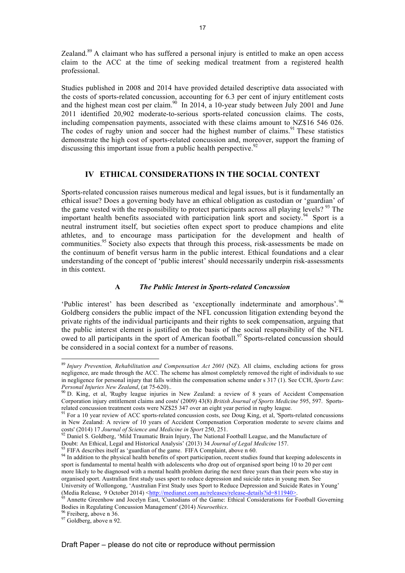Zealand.<sup>89</sup> A claimant who has suffered a personal injury is entitled to make an open access claim to the ACC at the time of seeking medical treatment from a registered health professional.

Studies published in 2008 and 2014 have provided detailed descriptive data associated with the costs of sports-related concussion, accounting for 6.3 per cent of injury entitlement costs and the highest mean cost per claim.<sup>90</sup> In 2014, a 10-year study between July 2001 and June 2011 identified 20,902 moderate-to-serious sports-related concussion claims. The costs, including compensation payments, associated with these claims amount to NZ\$16 546 026. The codes of rugby union and soccer had the highest number of claims.<sup>91</sup> These statistics demonstrate the high cost of sports-related concussion and, moreover, support the framing of discussing this important issue from a public health perspective.  $92$ 

### **IV ETHICAL CONSIDERATIONS IN THE SOCIAL CONTEXT**

Sports-related concussion raises numerous medical and legal issues, but is it fundamentally an ethical issue? Does a governing body have an ethical obligation as custodian or 'guardian' of the game vested with the responsibility to protect participants across all playing levels? <sup>93</sup> The important health benefits associated with participation link sport and society.<sup>94</sup> Sport is a neutral instrument itself, but societies often expect sport to produce champions and elite athletes, and to encourage mass participation for the development and health of communities.<sup>95</sup> Society also expects that through this process, risk-assessments be made on the continuum of benefit versus harm in the public interest. Ethical foundations and a clear understanding of the concept of 'public interest' should necessarily underpin risk-assessments in this context.

### **A** *The Public Interest in Sports-related Concussion*

'Public interest' has been described as 'exceptionally indeterminate and amorphous'. 96 Goldberg considers the public impact of the NFL concussion litigation extending beyond the private rights of the individual participants and their rights to seek compensation, arguing that the public interest element is justified on the basis of the social responsibility of the NFL owed to all participants in the sport of American football.<sup>97</sup> Sports-related concussion should be considered in a social context for a number of reasons.

<sup>&</sup>lt;sup>89</sup> *Injury Prevention, Rehabilitation and Compensation Act 2001* (NZ). All claims, excluding actions for gross negligence, are made through the ACC. The scheme has almost completely removed the right of individuals to sue in negligence for personal injury that falls within the compensation scheme under s 317 (1). See CCH, *Sports Law*: *Personal Injuries New Zealand*, (at 75-620)..<br><sup>90</sup> D. King, et al, 'Rugby league injuries in New Zealand: a review of 8 years of Accident Compensation

Corporation injury entitlement claims and costs' (2009) 43(8) *British Journal of Sports Medicine* 595, 597. Sports-

<sup>&</sup>lt;sup>91</sup> For a 10 year review of ACC sports-related concussion costs, see Doug King, et al, 'Sports-related concussions in New Zealand: A review of 10 years of Accident Compensation Corporation moderate to severe claims and costs' (2014) 17 Journal of Science and Medicine in Sport 250, 251.

<sup>&</sup>lt;sup>92</sup> Daniel S. Goldberg, 'Mild Traumatic Brain Injury, The National Football League, and the Manufacture of Doubt: An Ethical, Legal and Historical Analysis' (2013) 34 *Journal of Legal Medicine* 157.

 $^{93}$  FIFA describes itself as 'guardian of the game. FIFA Complaint, above n 60.<br><sup>94</sup> In addition to the physical health benefits of sport participation, recent studies found that keeping adolescents in sport is fundamental to mental health with adolescents who drop out of organised sport being 10 to 20 per cent more likely to be diagnosed with a mental health problem during the next three years than their peers who stay in organised sport. Australian first study uses sport to reduce depression and suicide rates in young men. See University of Wollongong, 'Australian First Study uses Sport to Reduce Depression and Suicide Rates in Young' (Media Release, 9 October 2014) <http://medianet.com.au/releases/release-details?id=811940>.<br><sup>95</sup> Annette Greenhow and Jocelyn East, 'Custodians of the Game: Ethical Considerations for Football Governing

Bodies in Regulating Concussion Management' (2014) *Neuroethics*. <sup>96</sup> Freiberg, above n 36. <sup>97</sup> Goldberg, above n 92.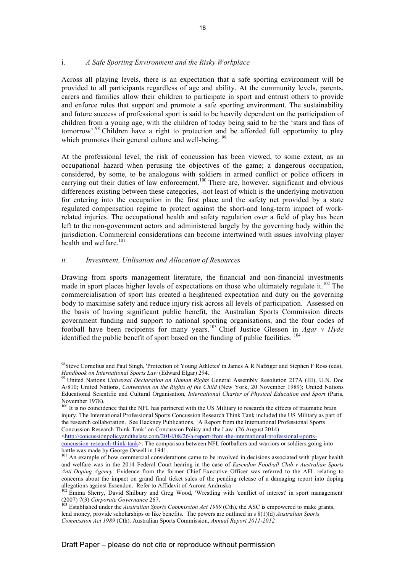### i. *A Safe Sporting Environment and the Risky Workplace*

Across all playing levels, there is an expectation that a safe sporting environment will be provided to all participants regardless of age and ability. At the community levels, parents, carers and families allow their children to participate in sport and entrust others to provide and enforce rules that support and promote a safe sporting environment. The sustainability and future success of professional sport is said to be heavily dependent on the participation of children from a young age, with the children of today being said to be the 'stars and fans of tomorrow'.98 Children have a right to protection and be afforded full opportunity to play which promotes their general culture and well-being.<sup>99</sup>

At the professional level, the risk of concussion has been viewed, to some extent, as an occupational hazard when perusing the objectives of the game; a dangerous occupation, considered, by some, to be analogous with soldiers in armed conflict or police officers in carrying out their duties of law enforcement.<sup>100</sup> There are, however, significant and obvious differences existing between these categories, -not least of which is the underlying motivation for entering into the occupation in the first place and the safety net provided by a state regulated compensation regime to protect against the short-and long-term impact of workrelated injuries. The occupational health and safety regulation over a field of play has been left to the non-government actors and administered largely by the governing body within the jurisdiction. Commercial considerations can become intertwined with issues involving player health and welfare.<sup>101</sup>

#### *ii. Investment, Utilisation and Allocation of Resources*

 $\overline{a}$ 

Drawing from sports management literature, the financial and non-financial investments made in sport places higher levels of expectations on those who ultimately regulate it.<sup>102</sup> The commercialisation of sport has created a heightened expectation and duty on the governing body to maximise safety and reduce injury risk across all levels of participation. Assessed on the basis of having significant public benefit, the Australian Sports Commission directs government funding and support to national sporting organisations, and the four codes of football have been recipients for many years.<sup>103</sup> Chief Justice Glesson in *Agar v Hyde*  identified the public benefit of sport based on the funding of public facilities. <sup>104</sup>

<sup>98</sup> Steve Cornelius and Paul Singh, 'Protection of Young Athletes' in James A R Nafziger and Stephen F Ross (eds), *Handbook on International Sports Law* (Edward Elgar) 294.<br><sup>99</sup> United Nations *Universal Declaration on Human Rights* General Assembly Resolution 217A (III), U.N. Doc

A/810; United Nations, *Convention on the Rights of the Child* (New York, 20 November 1989); United Nations Educational Scientific and Cultural Organisation, *International Charter of Physical Education and Sport* (Paris, November 1978).

<sup>&</sup>lt;sup>100</sup> It is no coincidence that the NFL has partnered with the US Military to research the effects of traumatic brain injury. The International Professional Sports Concussion Research Think Tank included the US Military as part of the research collaboration. See Hackney Publications, 'A Report from the International Professional Sports Concussion Research Think Tank' on Concussion Policy and the Law (26 August 2014)

<sup>&</sup>lt;http://concussionpolicyandthelaw.com/2014/08/26/a-report-from-the-international-professional-sportsconcussion-research-think-tank>. The comparison between NFL footballers and warriors or soldiers going into

battle was made by George Orwell in 1941.<br><sup>101</sup> An example of how commercial considerations came to be involved in decisions associated with player health and welfare was in the 2014 Federal Court hearing in the case of *Essendon Football Club v Australian Sports Anti-Doping Agency*. Evidence from the former Chief Executive Officer was referred to the AFL relating to concerns about the impact on grand final ticket sales of the pending release of a damaging report into doping allegations against Essendon. Refer to Affidavit of Aurora Andruska<br><sup>102</sup> Emma Sherry, David Shilbury and Greg Wood, 'Wrestling with 'conflict of interest' in sport management'

<sup>(2007) 7(3)</sup> *Corporate Governance* 267.<br><sup>103</sup> Established under the *Australian Sports Commission Act 1989* (Cth), the ASC is empowered to make grants,

lend money, provide scholarships or like benefits. The powers are outlined in s 8(1)(d) *Australian Sports Commission Act 1989* (Cth). Australian Sports Commission, *Annual Report 2011-2012*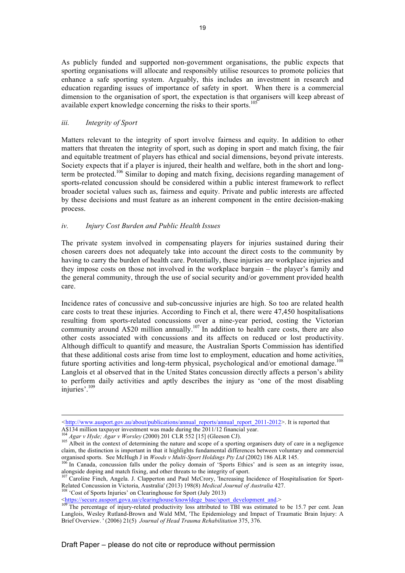As publicly funded and supported non-government organisations, the public expects that sporting organisations will allocate and responsibly utilise resources to promote policies that enhance a safe sporting system. Arguably, this includes an investment in research and education regarding issues of importance of safety in sport. When there is a commercial dimension to the organisation of sport, the expectation is that organisers will keep abreast of available expert knowledge concerning the risks to their sports.<sup>105</sup>

### *iii. Integrity of Sport*

Matters relevant to the integrity of sport involve fairness and equity. In addition to other matters that threaten the integrity of sport, such as doping in sport and match fixing, the fair and equitable treatment of players has ethical and social dimensions, beyond private interests. Society expects that if a player is injured, their health and welfare, both in the short and longterm be protected.<sup>106</sup> Similar to doping and match fixing, decisions regarding management of sports-related concussion should be considered within a public interest framework to reflect broader societal values such as, fairness and equity. Private and public interests are affected by these decisions and must feature as an inherent component in the entire decision-making process.

### *iv. Injury Cost Burden and Public Health Issues*

The private system involved in compensating players for injuries sustained during their chosen careers does not adequately take into account the direct costs to the community by having to carry the burden of health care. Potentially, these injuries are workplace injuries and they impose costs on those not involved in the workplace bargain – the player's family and the general community, through the use of social security and/or government provided health care.

Incidence rates of concussive and sub-concussive injuries are high. So too are related health care costs to treat these injuries. According to Finch et al, there were 47,450 hospitalisations resulting from sports-related concussions over a nine-year period, costing the Victorian community around A\$20 million annually.<sup>107</sup> In addition to health care costs, there are also other costs associated with concussions and its affects on reduced or lost productivity. Although difficult to quantify and measure, the Australian Sports Commission has identified that these additional costs arise from time lost to employment, education and home activities, future sporting activities and long-term physical, psychological and/or emotional damage.<sup>108</sup> Langlois et al observed that in the United States concussion directly affects a person's ability to perform daily activities and aptly describes the injury as 'one of the most disabling injuries'. 109

*<sup>&</sup>lt;*http://www.ausport.gov.au/about/publications/annual\_reports/annual\_report\_2011-2012>. It is reported that

A\$134 million taxpayer investment was made during the 2011/12 financial year.<br><sup>104</sup> Agar v Hyde; Agar v Worsley (2000) 201 CLR 552 [15] (Gleeson CJ).<br><sup>105</sup> Albeit in the context of determining the nature and scope of a sp claim, the distinction is important in that it highlights fundamental differences between voluntary and commercial organised sports. See McHugh J in *Woods v Multi-Sport Holdings Pty Ltd* (2002) 186 ALR 145.<br><sup>106</sup> In Canada, concussion falls under the policy domain of 'Sports Ethics' and is seen as an integrity issue,

alongside doping and match fixing, and other threats to the integrity of sport.

<sup>&</sup>lt;sup>107</sup> Caroline Finch, Angela. J. Clapperton and Paul McCrory, 'Increasing Incidence of Hospitalisation for Sport-Related Concussion in Victoria, Australia' (2013) 198(8) *Medical Journal of Australia* 427.<br><sup>108</sup> 'Cost of Sports Injuries' on Clearinghouse for Sport (July 2013)<br>
<u><https://secure.ausport.gova.ua/clearinghouse/knowldege\_</u>

The percentage of injury-related productivity loss attributed to TBI was estimated to be 15.7 per cent. Jean Langlois, Wesley Rutland-Brown and Wald MM, 'The Epidemiology and Impact of Traumatic Brain Injury: A Brief Overview. ' (2006) 21(5) *Journal of Head Trauma Rehabilitation* 375, 376.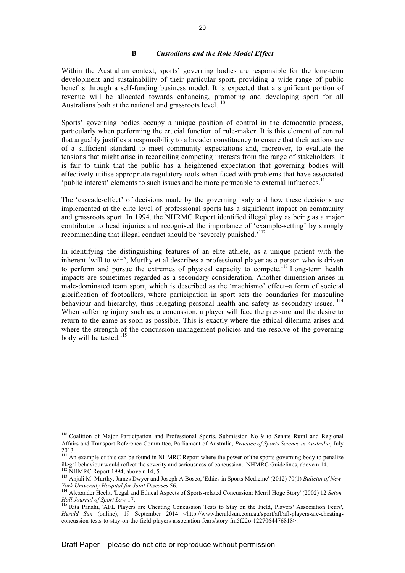#### **B** *Custodians and the Role Model Effect*

Within the Australian context, sports' governing bodies are responsible for the long-term development and sustainability of their particular sport, providing a wide range of public benefits through a self-funding business model. It is expected that a significant portion of revenue will be allocated towards enhancing, promoting and developing sport for all Australians both at the national and grassroots level.<sup>110</sup>

Sports' governing bodies occupy a unique position of control in the democratic process, particularly when performing the crucial function of rule-maker. It is this element of control that arguably justifies a responsibility to a broader constituency to ensure that their actions are of a sufficient standard to meet community expectations and, moreover, to evaluate the tensions that might arise in reconciling competing interests from the range of stakeholders. It is fair to think that the public has a heightened expectation that governing bodies will effectively utilise appropriate regulatory tools when faced with problems that have associated 'public interest' elements to such issues and be more permeable to external influences.<sup>111</sup>

The 'cascade-effect' of decisions made by the governing body and how these decisions are implemented at the elite level of professional sports has a significant impact on community and grassroots sport. In 1994, the NHRMC Report identified illegal play as being as a major contributor to head injuries and recognised the importance of 'example-setting' by strongly recommending that illegal conduct should be 'severely punished.'<sup>112</sup>

In identifying the distinguishing features of an elite athlete, as a unique patient with the inherent 'will to win', Murthy et al describes a professional player as a person who is driven to perform and pursue the extremes of physical capacity to compete.<sup>113</sup> Long-term health impacts are sometimes regarded as a secondary consideration. Another dimension arises in male-dominated team sport, which is described as the 'machismo' effect–a form of societal glorification of footballers, where participation in sport sets the boundaries for masculine behaviour and hierarchy, thus relegating personal health and safety as secondary issues. <sup>114</sup> When suffering injury such as, a concussion, a player will face the pressure and the desire to return to the game as soon as possible. This is exactly where the ethical dilemma arises and where the strength of the concussion management policies and the resolve of the governing body will be tested.<sup>115</sup>

<sup>&</sup>lt;sup>110</sup> Coalition of Major Participation and Professional Sports. Submission No 9 to Senate Rural and Regional Affairs and Transport Reference Committee, Parliament of Australia, *Practice of Sports Science in Australia*, July 2013.

<sup>&</sup>lt;sup>111</sup> An example of this can be found in NHMRC Report where the power of the sports governing body to penalize illegal behaviour would reflect the severity and seriousness of concussion. NHMRC Guidelines, above n 14.<br><sup>112</sup> NHMRC Report 1994, above n 14, 5.<br><sup>113</sup> Anjali M. Murthy, James Dwyer and Joseph A Bosco, 'Ethics in Sports Me

*York University Hospital for Joint Diseases* 56.<br><sup>114</sup> Alexander Hecht, 'Legal and Ethical Aspects of Sports-related Concussion: Merril Hoge Story' (2002) 12 *Seton Hall Journal of Sport Law 17*.

<sup>&</sup>lt;sup>115</sup> Rita Panahi, 'AFL Players are Cheating Concussion Tests to Stay on the Field, Players' Association Fears', *Herald Sun* (online), 19 September 2014 <http://www.heraldsun.com.au/sport/afl/afl-players-are-cheatingconcussion-tests-to-stay-on-the-field-players-association-fears/story-fni5f22o-1227064476818>.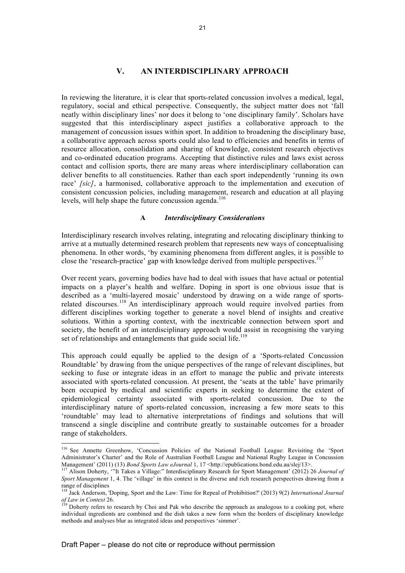### **V. AN INTERDISCIPLINARY APPROACH**

In reviewing the literature, it is clear that sports-related concussion involves a medical, legal, regulatory, social and ethical perspective. Consequently, the subject matter does not 'fall neatly within disciplinary lines' nor does it belong to 'one disciplinary family'. Scholars have suggested that this interdisciplinary aspect justifies a collaborative approach to the management of concussion issues within sport. In addition to broadening the disciplinary base, a collaborative approach across sports could also lead to efficiencies and benefits in terms of resource allocation, consolidation and sharing of knowledge, consistent research objectives and co-ordinated education programs. Accepting that distinctive rules and laws exist across contact and collision sports, there are many areas where interdisciplinary collaboration can deliver benefits to all constituencies. Rather than each sport independently 'running its own race' *[sic]*, a harmonised, collaborative approach to the implementation and execution of consistent concussion policies, including management, research and education at all playing levels, will help shape the future concussion agenda.<sup>116</sup>

#### **A** *Interdisciplinary Considerations*

Interdisciplinary research involves relating, integrating and relocating disciplinary thinking to arrive at a mutually determined research problem that represents new ways of conceptualising phenomena. In other words, 'by examining phenomena from different angles, it is possible to close the 'research-practice' gap with knowledge derived from multiple perspectives.<sup>117</sup>

Over recent years, governing bodies have had to deal with issues that have actual or potential impacts on a player's health and welfare. Doping in sport is one obvious issue that is described as a 'multi-layered mosaic' understood by drawing on a wide range of sportsrelated discourses.<sup>118</sup> An interdisciplinary approach would require involved parties from different disciplines working together to generate a novel blend of insights and creative solutions. Within a sporting context, with the inextricable connection between sport and society, the benefit of an interdisciplinary approach would assist in recognising the varying set of relationships and entanglements that guide social life.<sup>119</sup>

This approach could equally be applied to the design of a 'Sports-related Concussion Roundtable' by drawing from the unique perspectives of the range of relevant disciplines, but seeking to fuse or integrate ideas in an effort to manage the public and private interests associated with sports-related concussion. At present, the 'seats at the table' have primarily been occupied by medical and scientific experts in seeking to determine the extent of epidemiological certainty associated with sports-related concussion. Due to the interdisciplinary nature of sports-related concussion, increasing a few more seats to this 'roundtable' may lead to alternative interpretations of findings and solutions that will transcend a single discipline and contribute greatly to sustainable outcomes for a broader range of stakeholders.

<sup>&</sup>lt;sup>116</sup> See Annette Greenhow, 'Concussion Policies of the National Football League: Revisiting the 'Sport Administrator's Charter' and the Role of Australian Football League and National Rugby League in Concussion Management' (2011) (13) Bond Sports Law eJournal 1, 17 <http://epublications.bond.edu.au/slej/13>.

<sup>&</sup>lt;sup>117</sup> Alison Doherty, "It Takes a Village." Interdisciplinary Research for Sport Management' (2012) 26 Journal of *Sport Management* 1, 4. The 'village' in this context is the diverse and rich research perspectives drawing from a range of disciplines

<sup>118</sup> Jack Anderson, 'Doping, Sport and the Law: Time for Repeal of Prohibition?' (2013) 9(2) *International Journal of Law in Context* 26. <sup>119</sup> Doherty refers to research by Choi and Pak who describe the approach as analogous to a cooking pot, where <sup>119</sup>

individual ingredients are combined and the dish takes a new form when the borders of disciplinary knowledge methods and analyses blur as integrated ideas and perspectives 'simmer'.